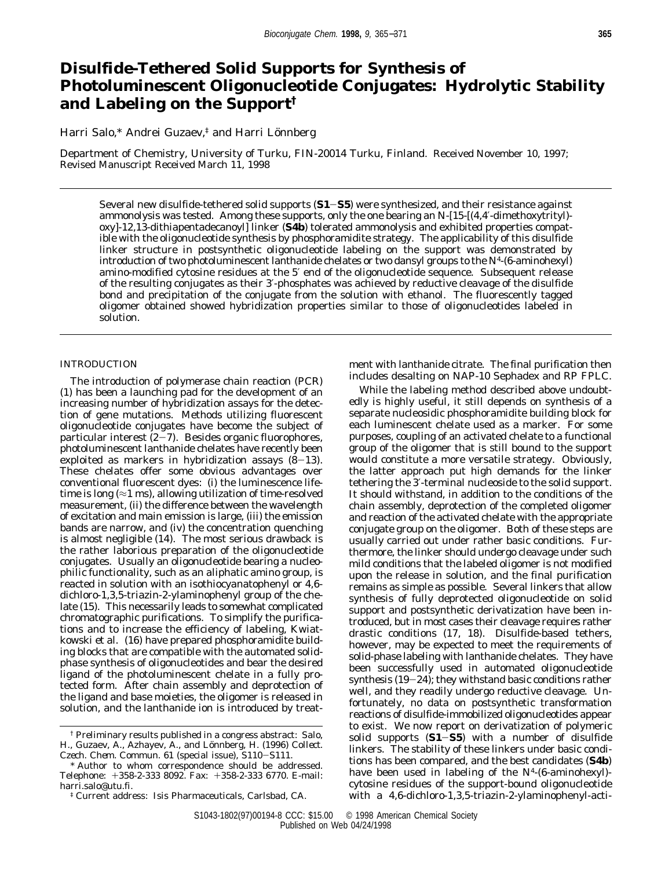# **Disulfide-Tethered Solid Supports for Synthesis of Photoluminescent Oligonucleotide Conjugates: Hydrolytic Stability and Labeling on the Support†**

Harri Salo,\* Andrei Guzaev,<sup>‡</sup> and Harri Lönnberg

Department of Chemistry, University of Turku, FIN-20014 Turku, Finland. Received November 10, 1997; Revised Manuscript Received March 11, 1998

Several new disulfide-tethered solid supports (**S1**-**S5**) were synthesized, and their resistance against ammonolysis was tested. Among these supports, only the one bearing an *N*-[15-[(4,4′-dimethoxytrityl) oxy]-12,13-dithiapentadecanoyl] linker (**S4b**) tolerated ammonolysis and exhibited properties compatible with the oligonucleotide synthesis by phosphoramidite strategy. The applicability of this disulfide linker structure in postsynthetic oligonucleotide labeling on the support was demonstrated by introduction of two photoluminescent lanthanide chelates or two dansyl groups to the *N*4-(6-aminohexyl) amino-modified cytosine residues at the 5′ end of the oligonucleotide sequence. Subsequent release of the resulting conjugates as their 3′-phosphates was achieved by reductive cleavage of the disulfide bond and precipitation of the conjugate from the solution with ethanol. The fluorescently tagged oligomer obtained showed hybridization properties similar to those of oligonucleotides labeled in solution.

### INTRODUCTION

The introduction of polymerase chain reaction (PCR) (*1*) has been a launching pad for the development of an increasing number of hybridization assays for the detection of gene mutations. Methods utilizing fluorescent oligonucleotide conjugates have become the subject of particular interest  $(2-\gamma)$ . Besides organic fluorophores, photoluminescent lanthanide chelates have recently been exploited as markers in hybridization assays (*8*-*13*). These chelates offer some obvious advantages over conventional fluorescent dyes: (i) the luminescence lifetime is long  $(\approx 1 \text{ ms})$ , allowing utilization of time-resolved measurement, (ii) the difference between the wavelength of excitation and main emission is large, (iii) the emission bands are narrow, and (iv) the concentration quenching is almost negligible (*14*). The most serious drawback is the rather laborious preparation of the oligonucleotide conjugates. Usually an oligonucleotide bearing a nucleophilic functionality, such as an aliphatic amino group, is reacted in solution with an isothiocyanatophenyl or 4,6 dichloro-1,3,5-triazin-2-ylaminophenyl group of the chelate (*15*). This necessarily leads to somewhat complicated chromatographic purifications. To simplify the purifications and to increase the efficiency of labeling, Kwiatkowski et al. (*16*) have prepared phosphoramidite building blocks that are compatible with the automated solidphase synthesis of oligonucleotides and bear the desired ligand of the photoluminescent chelate in a fully protected form. After chain assembly and deprotection of the ligand and base moieties, the oligomer is released in solution, and the lanthanide ion is introduced by treatment with lanthanide citrate. The final purification then includes desalting on NAP-10 Sephadex and RP FPLC.

While the labeling method described above undoubtedly is highly useful, it still depends on synthesis of a separate nucleosidic phosphoramidite building block for each luminescent chelate used as a marker. For some purposes, coupling of an activated chelate to a functional group of the oligomer that is still bound to the support would constitute a more versatile strategy. Obviously, the latter approach put high demands for the linker tethering the 3′-terminal nucleoside to the solid support. It should withstand, in addition to the conditions of the chain assembly, deprotection of the completed oligomer and reaction of the activated chelate with the appropriate conjugate group on the oligomer. Both of these steps are usually carried out under rather basic conditions. Furthermore, the linker should undergo cleavage under such mild conditions that the labeled oligomer is not modified upon the release in solution, and the final purification remains as simple as possible. Several linkers that allow synthesis of fully deprotected oligonucleotide on solid support and postsynthetic derivatization have been introduced, but in most cases their cleavage requires rather drastic conditions (*17, 18*). Disulfide-based tethers, however, may be expected to meet the requirements of solid-phase labeling with lanthanide chelates. They have been successfully used in automated oligonucleotide synthesis (*19*-*24*); they withstand basic conditions rather well, and they readily undergo reductive cleavage. Unfortunately, no data on postsynthetic transformation reactions of disulfide-immobilized oligonucleotides appear to exist. We now report on derivatization of polymeric solid supports (**S1**-**S5**) with a number of disulfide linkers. The stability of these linkers under basic conditions has been compared, and the best candidates (**S4b**) have been used in labeling of the *N*4-(6-aminohexyl) cytosine residues of the support-bound oligonucleotide with a 4,6-dichloro-1,3,5-triazin-2-ylaminophenyl-acti-

<sup>†</sup> Preliminary results published in a congress abstract: Salo, H., Guzaev, A., Azhayev, A., and Lönnberg, H. (1996) *Collect. Czech. Chem. Commun. 61* (special issue), S110-S111.

<sup>\*</sup> Author to whom correspondence should be addressed. Telephone: +358-2-333 8092. Fax: +358-2-333 6770. E-mail: harri.salo@utu.fi.

<sup>‡</sup> Current address: Isis Pharmaceuticals, Carlsbad, CA.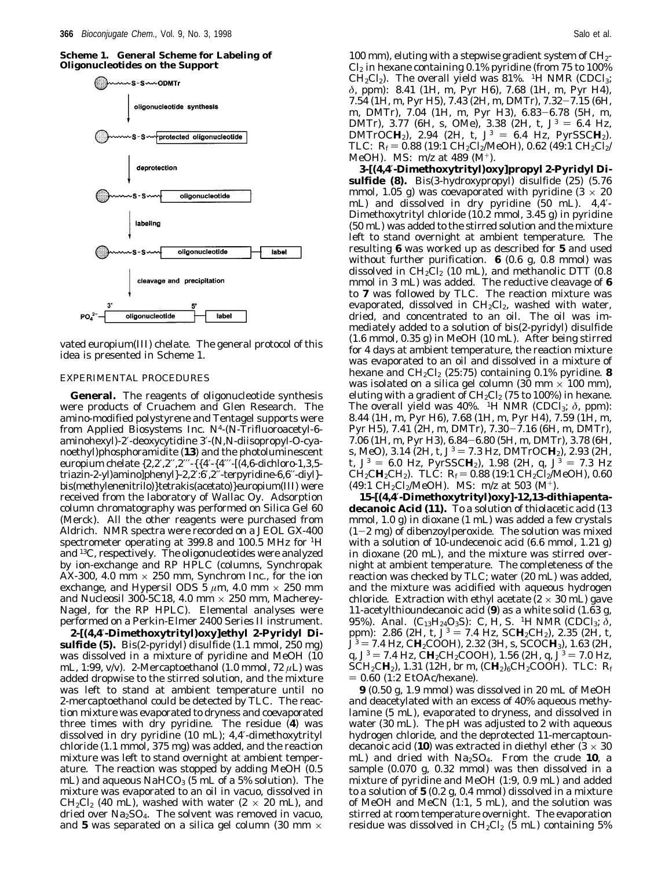**Scheme 1. General Scheme for Labeling of Oligonucleotides on the Support**



vated europium(III) chelate. The general protocol of this idea is presented in Scheme 1.

#### EXPERIMENTAL PROCEDURES

**General.** The reagents of oligonucleotide synthesis were products of Cruachem and Glen Research. The amino-modified polystyrene and Tentagel supports were from Applied Biosystems Inc. *N4*-(*N*-Trifluoroacetyl-6 aminohexyl)-2′-deoxycytidine 3′-(*N*,*N*-diisopropyl-*O*-cyanoethyl)phosphoramidite (**13**) and the photoluminescent europium chelate {2,2′,2′′,2′′′-{{4′-{4′′′-[(4,6-dichloro-1,3,5 triazin-2-yl)amino]phenyl}-2,2′:6′,2′′-terpyridine-6,6′′-diyl} bis(methylenenitrilo)}tetrakis(acetato)}europium(III) were received from the laboratory of Wallac Oy. Adsorption column chromatography was performed on Silica Gel 60 (Merck). All the other reagents were purchased from Aldrich. NMR spectra were recorded on a JEOL GX-400 spectrometer operating at 399.8 and 100.5 MHz for 1H and 13C, respectively. The oligonucleotides were analyzed by ion-exchange and RP HPLC (columns, Synchropak AX-300, 4.0 mm  $\times$  250 mm, Synchrom Inc., for the ion exchange, and Hypersil ODS  $5 \mu m$ ,  $4.0 \text{ mm} \times 250 \text{ mm}$ and Nucleosil 300-5C18, 4.0 mm  $\times$  250 mm, Macherey-Nagel, for the RP HPLC). Elemental analyses were performed on a Perkin-Elmer 2400 Series II instrument.

**2-[(4,4**′**-Dimethoxytrityl)oxy]ethyl 2-Pyridyl Disulfide (5).** Bis(2-pyridyl) disulfide (1.1 mmol, 250 mg) was dissolved in a mixture of pyridine and MeOH (10 mL, 1:99, v/v). 2-Mercaptoethanol (1.0 mmol, 72 *µ*L) was added dropwise to the stirred solution, and the mixture was left to stand at ambient temperature until no 2-mercaptoethanol could be detected by TLC. The reaction mixture was evaporated to dryness and coevaporated three times with dry pyridine. The residue (**4**) was dissolved in dry pyridine (10 mL); 4,4′-dimethoxytrityl chloride (1.1 mmol, 375 mg) was added, and the reaction mixture was left to stand overnight at ambient temperature. The reaction was stopped by adding MeOH (0.5 mL) and aqueous  $NAHCO<sub>3</sub>$  (5 mL of a 5% solution). The mixture was evaporated to an oil in vacuo, dissolved in  $CH_2Cl_2$  (40 mL), washed with water (2  $\times$  20 mL), and dried over  $Na<sub>2</sub>SO<sub>4</sub>$ . The solvent was removed in vacuo, and 5 was separated on a silica gel column (30 mm  $\times$ 

100 mm), eluting with a stepwise gradient system of  $CH_{2}$ - $Cl<sub>2</sub>$  in hexane containing 0.1% pyridine (from 75 to 100%)  $CH_2Cl_2$ ). The overall yield was 81%. <sup>1</sup>H NMR (CDCl<sub>3</sub>; *δ*, ppm): 8.41 (1H, m, Pyr H6), 7.68 (1H, m, Pyr H4), 7.54 (1H, m, Pyr H5), 7.43 (2H, m, DMTr), 7.32-7.15 (6H, m, DMTr), 7.04 (1H, m, Pyr H3), 6.83-6.78 (5H, m, DMTr), 3.77 (6H, s, OMe), 3.38 (2H, t,  $J^3 = 6.4$  Hz, DMTrOC**H**<sub>2</sub>), 2.94 (2H, t,  $J^3 = 6.4$  Hz, PyrSSC**H**<sub>2</sub>). TLC:  $R_f = 0.88$  (19:1 CH<sub>2</sub>Cl<sub>2</sub>/MeOH), 0.62 (49:1 CH<sub>2</sub>Cl<sub>2</sub>/ MeOH). MS: *m*/*z* at 489 (M+).

**3-[(4,4**′*-***Dimethoxytrityl)oxy]propyl 2-Pyridyl Disulfide (8).** Bis(3-hydroxypropyl) disulfide (*25*) (5.76 mmol, 1.05 g) was coevaporated with pyridine  $(3 \times 20)$ mL) and dissolved in dry pyridine (50 mL). 4,4′- Dimethoxytrityl chloride (10.2 mmol, 3.45 g) in pyridine (50 mL) was added to the stirred solution and the mixture left to stand overnight at ambient temperature. The resulting **6** was worked up as described for **5** and used without further purification. **6** (0.6 g, 0.8 mmol) was dissolved in  $CH_2Cl_2$  (10 mL), and methanolic DTT (0.8 mmol in 3 mL) was added. The reductive cleavage of **6** to **7** was followed by TLC. The reaction mixture was evaporated, dissolved in  $CH_2Cl_2$ , washed with water, dried, and concentrated to an oil. The oil was immediately added to a solution of bis(2-pyridyl) disulfide (1.6 mmol, 0.35 g) in MeOH (10 mL). After being stirred for 4 days at ambient temperature, the reaction mixture was evaporated to an oil and dissolved in a mixture of hexane and  $CH_2Cl_2$  (25:75) containing 0.1% pyridine. **8** was isolated on a silica gel column (30 mm  $\times$  100 mm), eluting with a gradient of  $CH_2Cl_2$  (75 to 100%) in hexane. The overall yield was  $40\%$ . <sup>1</sup>H NMR (CDCl<sub>3</sub>;  $\delta$ , ppm): 8.44 (1H, m, Pyr H6), 7.68 (1H, m, Pyr H4), 7.59 (1H, m, Pyr H5), 7.41 (2H, m, DMTr), 7.30-7.16 (6H, m, DMTr), 7.06 (1H, m, Pyr H3), 6.84-6.80 (5H, m, DMTr), 3.78 (6H, s, MeO), 3.14 (2H, t,  $J^3 = 7.3$  Hz, DMTrOC**H**<sub>2</sub>), 2.93 (2H, t,  $J^3 = 6.0$  Hz, PyrSSC**H**<sub>2</sub>), 1.98 (2H, q,  $J^3 = 7.3$  Hz  $CH_2CH_2CH_2$ ). TLC:  $R_f = 0.88$  (19:1 CH<sub>2</sub>Cl<sub>2</sub>/MeOH), 0.60 (49:1 CH<sub>2</sub>Cl<sub>2</sub>/MeOH). MS: *m*/*z* at 503 (M<sup>+</sup>).

**15-[(4,4**′**-Dimethoxytrityl)oxy]-12,13-dithiapentadecanoic Acid (11).** To a solution of thiolacetic acid (13 mmol, 1.0 g) in dioxane (1 mL) was added a few crystals  $(1-2$  mg) of dibenzoylperoxide. The solution was mixed with a solution of 10-undecenoic acid (6.6 mmol, 1.21 g) in dioxane (20 mL), and the mixture was stirred overnight at ambient temperature. The completeness of the reaction was checked by TLC; water (20 mL) was added, and the mixture was acidified with aqueous hydrogen chloride. Extraction with ethyl acetate  $(2 \times 30 \text{ mL})$  gave 11-acetylthioundecanoic acid (**9**) as a white solid (1.63 g, 95%). Anal.  $(C_{13}H_{24}O_3S)$ : C, H, S. <sup>1</sup>H NMR (CDCl<sub>3</sub>;  $\delta$ , ppm): 2.86 (2H, t,  $J^3 = 7.4$  Hz, SCH<sub>2</sub>CH<sub>2</sub>), 2.35 (2H, t, *<sup>J</sup>*<sup>3</sup> ) 7.4 Hz, C**H**2COOH), 2.32 (3H, s, SCOC**H**3), 1.63 (2H, q,  $J^3 = 7.4$  Hz, CH<sub>2</sub>CH<sub>2</sub>COOH), 1.56 (2H, q,  $J^3 = 7.0$  Hz, SCH<sub>2</sub>CH<sub>2</sub>), 1.31 (12H, br m, (CH<sub>2</sub>)<sub>6</sub>CH<sub>2</sub>COOH). TLC: *R*<sub>f</sub>  $= 0.60$  (1:2 EtOAc/hexane).

**9** (0.50 g, 1.9 mmol) was dissolved in 20 mL of MeOH and deacetylated with an excess of 40% aqueous methylamine (5 mL), evaporated to dryness, and dissolved in water (30 mL). The pH was adjusted to 2 with aqueous hydrogen chloride, and the deprotected 11-mercaptoundecanoic acid (10) was extracted in diethyl ether ( $3 \times 30$ ) mL) and dried with Na2SO4. From the crude **10**, a sample (0.070 g, 0.32 mmol) was then dissolved in a mixture of pyridine and MeOH (1:9, 0.9 mL) and added to a solution of **5** (0.2 g, 0.4 mmol) dissolved in a mixture of MeOH and MeCN (1:1, 5 mL), and the solution was stirred at room temperature overnight. The evaporation residue was dissolved in  $CH_2Cl_2$  (5 mL) containing 5%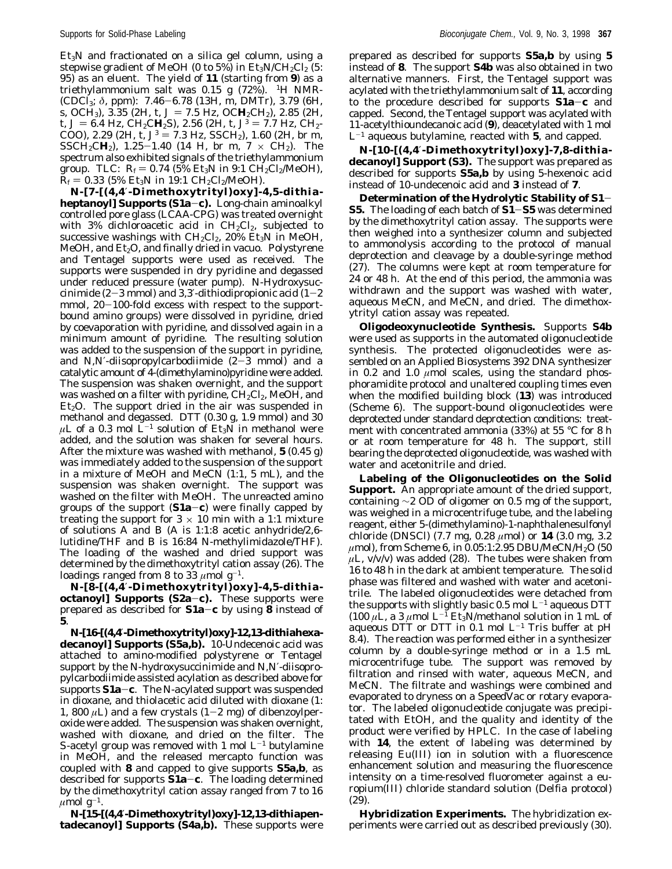$Et<sub>3</sub>N$  and fractionated on a silica gel column, using a stepwise gradient of MeOH (0 to 5%) in  $Et_3N/CH_2Cl_2(5)$ : 95) as an eluent. The yield of **11** (starting from **9**) as a triethylammonium salt was 0.15 g (72%). <sup>1</sup>H NMR-(CDCl3; *<sup>δ</sup>*, ppm): 7.46-6.78 (13H, m, DMTr), 3.79 (6H, s, OCH<sub>3</sub>), 3.35 (2H, t,  $J = 7.5$  Hz, OC**H**<sub>2</sub>CH<sub>2</sub>), 2.85 (2H, t,  $J = 6.4$  Hz, CH<sub>2</sub>CH<sub>2</sub>S), 2.56 (2H, t,  $J<sup>3</sup> = 7.7$  Hz, CH<sub>2</sub>-COO), 2.29 (2H, t,  $J^3 = 7.3$  Hz, SSCH<sub>2</sub>), 1.60 (2H, br m, SSCH<sub>2</sub>CH<sub>2</sub>), 1.25-1.40 (14 H, br m, 7  $\times$  CH<sub>2</sub>). The spectrum also exhibited signals of the triethylammonium group. TLC:  $R_f = 0.74$  (5% Et<sub>3</sub>N in 9:1 CH<sub>2</sub>Cl<sub>2</sub>/MeOH),  $R_f$  = 0.33 (5% Et<sub>3</sub>N in 19:1 CH<sub>2</sub>Cl<sub>2</sub>/MeOH).

*N***-[7-[(4,4**′**-Dimethoxytrityl)oxy]-4,5-dithiaheptanoyl] Supports (S1a**-**c).** Long-chain aminoalkyl controlled pore glass (LCAA-CPG) was treated overnight with 3% dichloroacetic acid in  $CH_2Cl_2$ , subjected to successive washings with  $CH_2Cl_2$ , 20% Et<sub>3</sub>N in MeOH, MeOH, and  $Et_2O$ , and finally dried in vacuo. Polystyrene and Tentagel supports were used as received. The supports were suspended in dry pyridine and degassed under reduced pressure (water pump). *N*-Hydroxysuccinimide (2-3 mmol) and 3,3′-dithiodipropionic acid (1-2 mmol, 20-100-fold excess with respect to the supportbound amino groups) were dissolved in pyridine, dried by coevaporation with pyridine, and dissolved again in a minimum amount of pyridine. The resulting solution was added to the suspension of the support in pyridine, and  $N$ , $N$ -diisopropylcarbodiimide  $(2-3$  mmol) and a catalytic amount of 4-(dimethylamino)pyridine were added. The suspension was shaken overnight, and the support was washed on a filter with pyridine,  $CH_2Cl_2$ , MeOH, and  $Et<sub>2</sub>O$ . The support dried in the air was suspended in methanol and degassed. DTT (0.30 g, 1.9 mmol) and 30  $\mu$ L of a 0.3 mol  $\tilde{L}^{-1}$  solution of Et<sub>3</sub>N in methanol were added, and the solution was shaken for several hours. After the mixture was washed with methanol, **5** (0.45 g) was immediately added to the suspension of the support in a mixture of MeOH and MeCN (1:1, 5 mL), and the suspension was shaken overnight. The support was washed on the filter with MeOH. The unreacted amino groups of the support (**S1a**-**c**) were finally capped by treating the support for  $3 \times 10$  min with a 1:1 mixture of solutions A and B (A is 1:1:8 acetic anhydride/2,6 lutidine/THF and B is 16:84 *N*-methylimidazole/THF). The loading of the washed and dried support was determined by the dimethoxytrityl cation assay (*26*). The loadings ranged from 8 to 33  $\mu$ mol g<sup>-1</sup>.

*N-***[8-[(4,4**′**-Dimethoxytrityl)oxy]-4,5-dithiaoctanoyl] Supports (S2a**-**c).** These supports were prepared as described for **S1a**-**<sup>c</sup>** by using **<sup>8</sup>** instead of **5**.

*N***-[16-[(4,4**′**-Dimethoxytrityl)oxy]-12,13-dithiahexadecanoyl] Supports (S5a,b).** 10-Undecenoic acid was attached to amino-modified polystyrene or Tentagel support by the *N*-hydroxysuccinimide and *N*,*N*′-diisopropylcarbodiimide assisted acylation as described above for supports **S1a**-**c**. The N-acylated support was suspended in dioxane, and thiolacetic acid diluted with dioxane (1: 1, 800  $\mu$ L) and a few crystals (1-2 mg) of dibenzoylperoxide were added. The suspension was shaken overnight, washed with dioxane, and dried on the filter. The *S*-acetyl group was removed with 1 mol  $L^{-1}$  butylamine in MeOH, and the released mercapto function was coupled with **8** and capped to give supports **S5a,b**, as described for supports **S1a**-**c**. The loading determined by the dimethoxytrityl cation assay ranged from 7 to 16  $\mu$ mol g<sup>-1</sup>.

*N-***[15-[(4,4**′**-Dimethoxytrityl)oxy]-12,13-dithiapentadecanoyl] Supports (S4a,b).** These supports were prepared as described for supports **S5a,b** by using **5** instead of **8**. The support **S4b** was also obtained in two alternative manners. First, the Tentagel support was acylated with the triethylammonium salt of **11**, according to the procedure described for supports **S1a**-**<sup>c</sup>** and capped. Second, the Tentagel support was acylated with 11-acetylthioundecanoic acid (**9**), deacetylated with 1 mol  $L^{-1}$  aqueous butylamine, reacted with 5, and capped.

*N***-[10-[(4,4**′**-Dimethoxytrityl)oxy]-7,8-dithiadecanoyl] Support (S3).** The support was prepared as described for supports **S5a,b** by using 5-hexenoic acid instead of 10-undecenoic acid and **3** instead of **7**.

**Determination of the Hydrolytic Stability of S1**- **S5.** The loading of each batch of **S1**-**S5** was determined by the dimethoxytrityl cation assay. The supports were then weighed into a synthesizer column and subjected to ammonolysis according to the protocol of manual deprotection and cleavage by a double-syringe method (*27*). The columns were kept at room temperature for 24 or 48 h. At the end of this period, the ammonia was withdrawn and the support was washed with water, aqueous MeCN, and MeCN, and dried. The dimethoxytrityl cation assay was repeated.

**Oligodeoxynucleotide Synthesis.** Supports **S4b** were used as supports in the automated oligonucleotide synthesis. The protected oligonucleotides were assembled on an Applied Biosystems 392 DNA synthesizer in 0.2 and 1.0  $\mu$ mol scales, using the standard phosphoramidite protocol and unaltered coupling times even when the modified building block (**13**) was introduced (Scheme 6). The support-bound oligonucleotides were deprotected under standard deprotection conditions: treatment with concentrated ammonia (33%) at 55 °C for 8 h or at room temperature for 48 h. The support, still bearing the deprotected oligonucleotide, was washed with water and acetonitrile and dried.

**Labeling of the Oligonucleotides on the Solid Support.** An appropriate amount of the dried support, containing ∼2 OD of oligomer on 0.5 mg of the support, was weighed in a microcentrifuge tube, and the labeling reagent, either 5-(dimethylamino)-1-naphthalenesulfonyl chloride (DNSCl) (7.7 mg, 0.28 *µ*mol) or **14** (3.0 mg, 3.2 *µ*mol), from Scheme 6, in 0.05:1:2.95 DBU/MeCN/H2O (50 *µ*L, v/v/v) was added (*28*). The tubes were shaken from 16 to 48 h in the dark at ambient temperature. The solid phase was filtered and washed with water and acetonitrile. The labeled oligonucleotides were detached from the supports with slightly basic 0.5 mol  $L^{-1}$  aqueous DTT (100  $\mu$ L, a 3  $\mu$ mol L<sup>-1</sup> Et<sub>3</sub>N/methanol solution in 1 mL of aqueous DTT or DTT in 0.1 mol  $L^{-1}$  Tris buffer at pH 8.4). The reaction was performed either in a synthesizer column by a double-syringe method or in a 1.5 mL microcentrifuge tube. The support was removed by filtration and rinsed with water, aqueous MeCN, and MeCN. The filtrate and washings were combined and evaporated to dryness on a SpeedVac or rotary evaporator. The labeled oligonucleotide conjugate was precipitated with EtOH, and the quality and identity of the product were verified by HPLC. In the case of labeling with **14**, the extent of labeling was determined by releasing Eu(III) ion in solution with a fluorescence enhancement solution and measuring the fluorescence intensity on a time-resolved fluorometer against a europium(III) chloride standard solution (Delfia protocol) (*29*).

**Hybridization Experiments.** The hybridization experiments were carried out as described previously (*30*).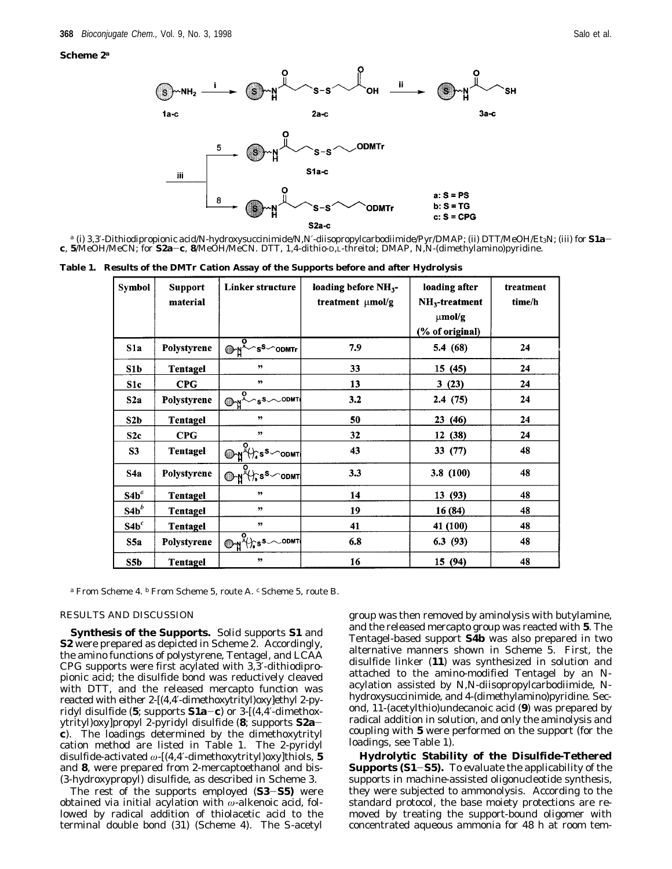#### **Scheme 2***<sup>a</sup>*



*<sup>a</sup>* (i) 3,3′-Dithiodipropionic acid/*N*-hydroxysuccinimide/*N*,*N*′-diisopropylcarbodiimide/Pyr/DMAP; (ii) DTT/MeOH/Et3N; (iii) for **S1a<sup>c</sup>**, **<sup>5</sup>**/MeOH/MeCN; for **S2a**-**c**, **<sup>8</sup>**/MeOH/MeCN. DTT, 1,4-dithio-D,L-threitol; DMAP, *<sup>N</sup>*,*N*-(dimethylamino)pyridine.

**Table 1. Results of the DMTr Cation Assay of the Supports before and after Hydrolysis**

| Symbol           | <b>Support</b><br>material | Linker structure                                              | loading before $NH_{3}$ -<br>treatment µmol/g | loading after<br>$NH3$ -treatment<br>$\mu$ mol/g<br>(% of original) | treatment<br>time/h |
|------------------|----------------------------|---------------------------------------------------------------|-----------------------------------------------|---------------------------------------------------------------------|---------------------|
| S1a              | Polystyrene                | $\overline{\mathcal{O}}\rightarrow N^2$ s <sup>S</sup> od MTr | 7.9                                           | 5.4 (68)                                                            | 24                  |
| S1b              | Tentagel                   | 55                                                            | 33                                            | 15(45)                                                              | 24                  |
| S1c              | <b>CPG</b>                 | $\overline{2}$                                                | 13                                            | 3(23)                                                               | 24                  |
| S2a              | Polystyrene                | $\overbrace{\bigoplus_{n=1}^{n}S_{n}}^{S_{n}}$                | 3.2                                           | 2.4(75)                                                             | 24                  |
| S2b              | Tentagel                   | $\overline{2}$                                                | 50                                            | 23(46)                                                              | 24                  |
| S <sub>2c</sub>  | <b>CPG</b>                 | ,,                                                            | 32                                            | 12 (38)                                                             | 24                  |
| S <sub>3</sub>   | Tentagel                   |                                                               | 43                                            | 33(77)                                                              | 48                  |
| S <sub>4</sub> a | Polystyrene                | OHY (h s <sup>s</sup> od mt)                                  | 3.3                                           | 3.8 (100)                                                           | 48                  |
| $S4b^a$          | Tentagel                   | 99                                                            | 14                                            | 13(93)                                                              | 48                  |
| $S4b^b$          | Tentagel                   | "                                                             | 19                                            | 16 (84)                                                             | 48                  |
| S4b <sup>c</sup> | Tentagel                   | 99                                                            | 41                                            | 41 (100)                                                            | 48                  |
| S5a              | Polystyrene                | $\bigoplus_{\beta} \sqrt[n]{s^{s}}$                           | 6.8                                           | 6.3(93)                                                             | 48                  |
| S5 <sub>b</sub>  | Tentagel                   | ,                                                             | 16                                            | 15 (94)                                                             | 48                  |

*<sup>a</sup>* From Scheme 4. *<sup>b</sup>* From Scheme 5, route A. *<sup>c</sup>* Scheme 5, route B.

#### RESULTS AND DISCUSSION

**Synthesis of the Supports.** Solid supports **S1** and **S2** were prepared as depicted in Scheme 2. Accordingly, the amino functions of polystyrene, Tentagel, and LCAA CPG supports were first acylated with 3,3′-dithiodipropionic acid; the disulfide bond was reductively cleaved with DTT, and the released mercapto function was reacted with either 2-[(4,4′-dimethoxytrityl)oxy]ethyl 2-pyridyl disulfide (**5**; supports **S1a**-**c**) or 3-[(4,4′-dimethoxytrityl)oxy]propyl 2-pyridyl disulfide (**8**; supports **S2ac**). The loadings determined by the dimethoxytrityl cation method are listed in Table 1. The 2-pyridyl disulfide-activated *ω*-[(4,4′-dimethoxytrityl)oxy]thiols, **5** and **8**, were prepared from 2-mercaptoethanol and bis- (3-hydroxypropyl) disulfide, as described in Scheme 3.

The rest of the supports employed (**S3**-**S5)** were obtained via initial acylation with *ω*-alkenoic acid, followed by radical addition of thiolacetic acid to the terminal double bond (*31*) (Scheme 4). The *S*-acetyl group was then removed by aminolysis with butylamine, and the released mercapto group was reacted with **5**. The Tentagel-based support **S4b** was also prepared in two alternative manners shown in Scheme 5. First, the disulfide linker (**11**) was synthesized in solution and attached to the amino-modified Tentagel by an Nacylation assisted by *N*,*N*-diisopropylcarbodiimide, *N*hydroxysuccinimide, and 4-(dimethylamino)pyridine. Second, 11-(acetylthio)undecanoic acid (**9**) was prepared by radical addition in solution, and only the aminolysis and coupling with **5** were performed on the support (for the loadings, see Table 1).

**Hydrolytic Stability of the Disulfide-Tethered Supports (S1**-**S5).** To evaluate the applicability of the supports in machine-assisted oligonucleotide synthesis, they were subjected to ammonolysis. According to the standard protocol, the base moiety protections are removed by treating the support-bound oligomer with concentrated aqueous ammonia for 48 h at room tem-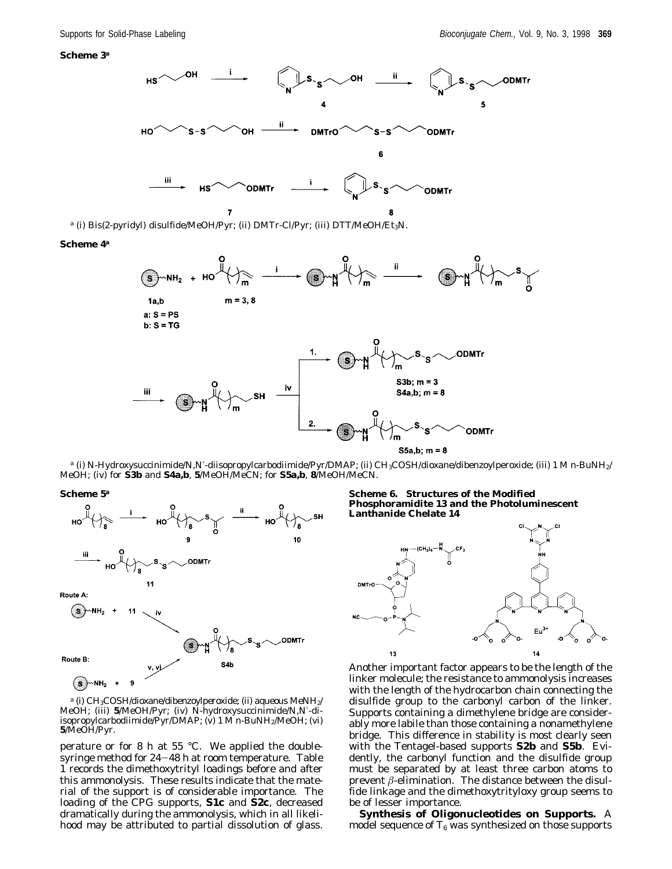

*<sup>a</sup>* (i) Bis(2-pyridyl) disulfide/MeOH/Pyr; (ii) DMTr-Cl/Pyr; (iii) DTT/MeOH/Et3N.

#### **Scheme 4***<sup>a</sup>*



*<sup>a</sup>* (i) *N*-Hydroxysuccinimide/*N*,*N*′-diisopropylcarbodiimide/Pyr/DMAP; (ii) CH3COSH/dioxane/dibenzoylperoxide; (iii) 1 M *n*-BuNH2/ MeOH; (iv) for **S3b** and **S4a,b**, **5**/MeOH/MeCN; for **S5a,b**, **8**/MeOH/MeCN.

**Scheme 5***<sup>a</sup>*



<sup>a</sup> (i) CH<sub>3</sub>COSH/dioxane/dibenzoylperoxide; (ii) aqueous MeNH<sub>2</sub>/ MeOH; (iii) **5**/MeOH/Pyr; (iv) *N*-hydroxysuccinimide/*N*,*N*′-diisopropylcarbodiimide/Pyr/DMAP; (v) 1 M *n*-BuNH2/MeOH; (vi) **5**/MeOH/Pyr.

perature or for 8 h at 55 °C. We applied the doublesyringe method for 24-48 h at room temperature. Table 1 records the dimethoxytrityl loadings before and after this ammonolysis. These results indicate that the material of the support is of considerable importance. The loading of the CPG supports, **S1c** and **S2c**, decreased dramatically during the ammonolysis, which in all likelihood may be attributed to partial dissolution of glass.

**Scheme 6. Structures of the Modified Phosphoramidite 13 and the Photoluminescent Lanthanide Chelate 14**



Another important factor appears to be the length of the linker molecule; the resistance to ammonolysis increases with the length of the hydrocarbon chain connecting the disulfide group to the carbonyl carbon of the linker. Supports containing a dimethylene bridge are considerably more labile than those containing a nonamethylene bridge. This difference in stability is most clearly seen with the Tentagel-based supports **S2b** and **S5b**. Evidently, the carbonyl function and the disulfide group must be separated by at least three carbon atoms to prevent  $\beta$ -elimination. The distance between the disulfide linkage and the dimethoxytrityloxy group seems to be of lesser importance.

**Synthesis of Oligonucleotides on Supports.** A model sequence of  $T_6$  was synthesized on those supports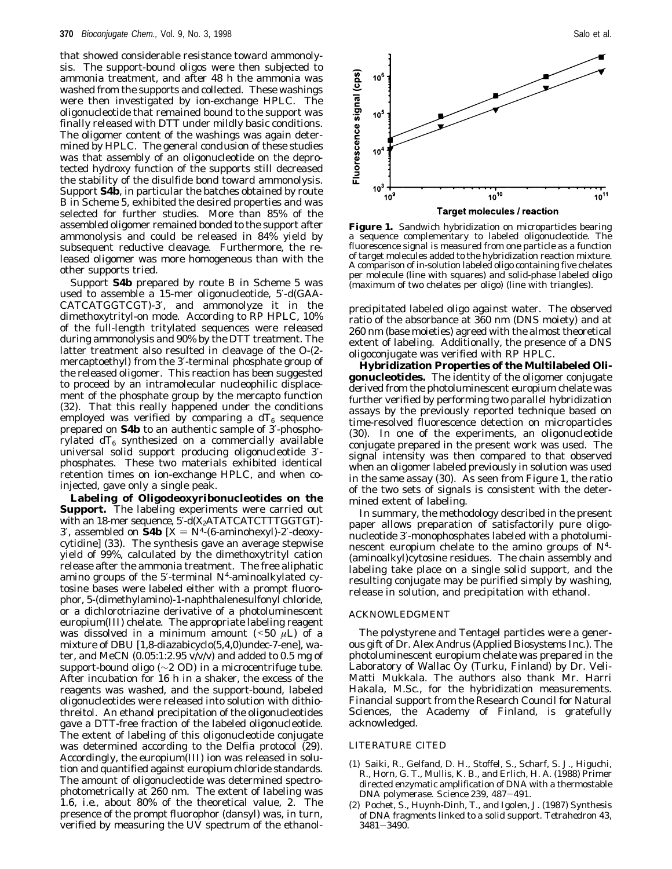that showed considerable resistance toward ammonolysis. The support-bound oligos were then subjected to ammonia treatment, and after 48 h the ammonia was washed from the supports and collected. These washings were then investigated by ion-exchange HPLC. The oligonucleotide that remained bound to the support was finally released with DTT under mildly basic conditions. The oligomer content of the washings was again determined by HPLC. The general conclusion of these studies was that assembly of an oligonucleotide on the deprotected hydroxy function of the supports still decreased the stability of the disulfide bond toward ammonolysis. Support **S4b**, in particular the batches obtained by route B in Scheme 5, exhibited the desired properties and was selected for further studies. More than 85% of the assembled oligomer remained bonded to the support after ammonolysis and could be released in 84% yield by subsequent reductive cleavage. Furthermore, the released oligomer was more homogeneous than with the other supports tried.

Support **S4b** prepared by route B in Scheme 5 was used to assemble a 15-mer oligonucleotide, 5′-d(GAA-CATCATGGTCGT)-3′, and ammonolyze it in the dimethoxytrityl-on mode. According to RP HPLC, 10% of the full-length tritylated sequences were released during ammonolysis and 90% by the DTT treatment. The latter treatment also resulted in cleavage of the *O*-(2 mercaptoethyl) from the 3′-terminal phosphate group of the released oligomer. This reaction has been suggested to proceed by an intramolecular nucleophilic displacement of the phosphate group by the mercapto function (*32*). That this really happened under the conditions employed was verified by comparing a  $dT_6$  sequence prepared on **S4b** to an authentic sample of 3′-phosphorylated  $dT_6$  synthesized on a commercially available universal solid support producing oligonucleotide 3′ phosphates. These two materials exhibited identical retention times on ion-exchange HPLC, and when coinjected, gave only a single peak.

**Labeling of Oligodeoxyribonucleotides on the Support.** The labeling experiments were carried out with an 18-mer sequence,  $5'$ -d $(X_2$ ATATCATCTTTGGTGT)-3', assembled on **S4b**  $[X = N^4-(6\text{-aminohexyl})-2'\text{-deoxy-}$ cytidine] (*33*). The synthesis gave an average stepwise yield of 99%, calculated by the dimethoxytrityl cation release after the ammonia treatment. The free aliphatic amino groups of the 5′-terminal *N*4-aminoalkylated cytosine bases were labeled either with a prompt fluorophor, 5-(dimethylamino)-1-naphthalenesulfonyl chloride, or a dichlorotriazine derivative of a photoluminescent europium(III) chelate. The appropriate labeling reagent was dissolved in a minimum amount  $(50 \mu L)$  of a mixture of DBU [1,8-diazabicyclo(5,4,0)undec-7-ene], water, and MeCN  $(0.05:1:2.95 \text{ v/v/v})$  and added to 0.5 mg of support-bound oligo (∼2 OD) in a microcentrifuge tube. After incubation for 16 h in a shaker, the excess of the reagents was washed, and the support-bound, labeled oligonucleotides were released into solution with dithiothreitol. An ethanol precipitation of the oligonucleotides gave a DTT-free fraction of the labeled oligonucleotide. The extent of labeling of this oligonucleotide conjugate was determined according to the Delfia protocol (*29*). Accordingly, the europium(III) ion was released in solution and quantified against europium chloride standards. The amount of oligonucleotide was determined spectrophotometrically at 260 nm. The extent of labeling was 1.6, *i.e.*, about 80% of the theoretical value, 2. The presence of the prompt fluorophor (dansyl) was, in turn, verified by measuring the UV spectrum of the ethanol-



**Figure 1.** Sandwich hybridization on microparticles bearing a sequence complementary to labeled oligonucleotide. The fluorescence signal is measured from one particle as a function of target molecules added to the hybridization reaction mixture. A comparison of in-solution labeled oligo containing five chelates per molecule (line with squares) and solid-phase labeled oligo (maximum of two chelates per oligo) (line with triangles).

precipitated labeled oligo against water. The observed ratio of the absorbance at 360 nm (DNS moiety) and at 260 nm (base moieties) agreed with the almost theoretical extent of labeling. Additionally, the presence of a DNS oligoconjugate was verified with RP HPLC.

**Hybridization Properties of the Multilabeled Oligonucleotides.** The identity of the oligomer conjugate derived from the photoluminescent europium chelate was further verified by performing two parallel hybridization assays by the previously reported technique based on time-resolved fluorescence detection on microparticles (*30*). In one of the experiments, an oligonucleotide conjugate prepared in the present work was used. The signal intensity was then compared to that observed when an oligomer labeled previously in solution was used in the same assay (*30*). As seen from Figure 1, the ratio of the two sets of signals is consistent with the determined extent of labeling.

In summary, the methodology described in the present paper allows preparation of satisfactorily pure oligonucleotide 3′-monophosphates labeled with a photoluminescent europium chelate to the amino groups of *N*4- (aminoalkyl)cytosine residues. The chain assembly and labeling take place on a single solid support, and the resulting conjugate may be purified simply by washing, release in solution, and precipitation with ethanol.

## ACKNOWLEDGMENT

The polystyrene and Tentagel particles were a generous gift of Dr. Alex Andrus (Applied Biosystems Inc.). The photoluminescent europium chelate was prepared in the Laboratory of Wallac Oy (Turku, Finland) by Dr. Veli-Matti Mukkala. The authors also thank Mr. Harri Hakala, M.Sc., for the hybridization measurements. Financial support from the Research Council for Natural Sciences, the Academy of Finland, is gratefully acknowledged.

#### LITERATURE CITED

- (1) Saiki, R., Gelfand, D. H., Stoffel, S., Scharf, S. J., Higuchi, R., Horn, G. T., Mullis, K. B., and Erlich, H. A. (1988) Primer directed enzymatic amplification of DNA with a thermostable DNA polymerase. *Science 239*, 487-491.
- (2) Pochet, S., Huynh-Dinh, T., and Igolen, J. (1987) Synthesis of DNA fragments linked to a solid support. *Tetrahedron 43*, <sup>3481</sup>-3490.